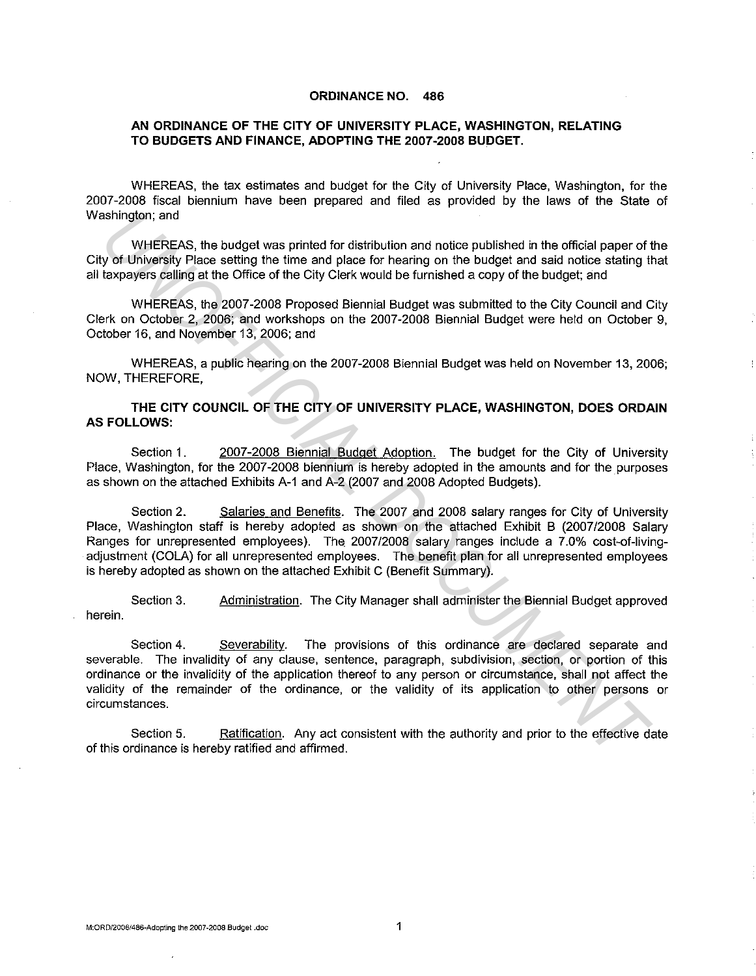### **ORDINANCE NO. 486**

### **AN ORDINANCE OF THE CITY OF UNIVERSITY PLACE, WASHINGTON, RELATING TO BUDGETS AND FINANCE, ADOPTING THE 2007-2008 BUDGET.**

WHEREAS, the tax estimates and budget for the City of University Place, Washington, for the 2007-2008 fiscal biennium have been prepared and filed as provided by the laws of the State of Washington; and

WHEREAS, the budget was printed for distribution and notice published in the official paper of the City of University Place setting the time and place for hearing on the budget and said notice stating that all taxpayers calling at the Office of the City Clerk would be furnished a copy of the budget; and

WHEREAS, the 2007-2008 Proposed Biennial Budget was submitted to the City Council and City Clerk on October 2, 2006; and workshops on the 2007-2008 Biennial Budget were held on October 9, October 16. and November 13, 2006; and

WHEREAS, a public hearing on the 2007-2008 Biennial Budget was held on November 13, 2006; NOW, THEREFORE,

### **THE CITY COUNCIL OF THE CITY OF UNIVERSITY PLACE, WASHINGTON, DOES ORDAIN AS FOLLOWS:**

Section 1. 2007-2008 Biennial Budget Adoption. The budget for the City of University Place, Washington, for the 2007-2008 biennium is hereby adopted in the amounts and for the purposes as shown on the attached Exhibits A-1 and A-2 (2007 and 2008 Adopted Budgets).

Section 2. Salaries and Benefits. The 2007 and 2008 salary ranges for City of University Place, Washington staff is hereby adopted as shown on the attached Exhibit B (2007/2008 Salary Ranges for unrepresented employees). The 2007/2008 salary ranges include a 7.0% cost-of-livingadjustment (COLA) for all unrepresented employees. The benefit plan for all unrepresented employees is hereby adopted as shown on the attached Exhibit C (Benefit Summary). ashington; and<br>
WHEREAS, the budget was printed for distribution and notice published in the official paper of<br>
y of University Place setting the time and place for hearing on the budget and said notice stating the<br>
taxpay

Section 3. Administration. The City Manager shall administer the Biennial Budget approved herein.

Section 4. Severability. The provisions of this ordinance are declared separate and severable. The invalidity of any clause, sentence, paragraph, subdivision, section, or portion of this ordinance or the invalidity of the application thereof to any person or circumstance, shall not affect the validity of the remainder of the ordinance, or the validity of its application to other persons or circumstances.

Section 5. Ratification. Any act consistent with the authority and prior to the effective date of this ordinance is hereby ratified and affirmed.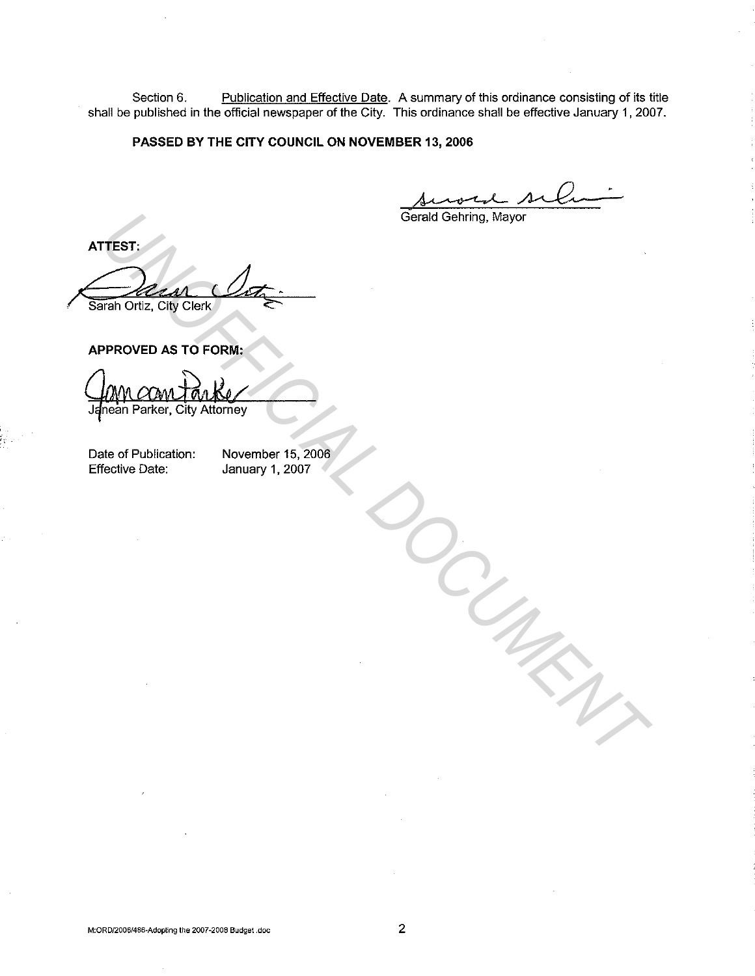Section 6. Publication and Effective Date. A summary of this ordinance consisting of its title shall be published in the official newspaper of the City. This ordinance shall be effective January 1, 2007.

### **PASSED BY THE CITY COUNCIL ON NOVEMBER 13, 2006**

R 13, 2006<br>Anoth siller

Gerald Gehring, Mayor

**ATTEST:**  / Sarah Ortiz, City Clerk  $\mathcal{A}_{\mathcal{I}}$ Gerald Gehring, Mayor<br> **UPROVED AS TO FORM:**<br>
PPROVED AS TO FORM:<br>
UPPROVED AS TO FORM:<br>
UPPROVED AS TO FORM:<br>
UPPROVED AS TO FORM:<br>
UPPROVED AS TO FORM:<br>
UPPROVED AS TO FORM:<br>
UPPROVED AS TO FORM:<br>
UPPROVED AS TO FORM:<br>
U

**APPROVED AS TO FORM:** 

Date of Publication: Effective Date:

November 15, 2006 January 1, 2007

M:ORD/2006/486-Adopting the 2007-2008 Budget .doc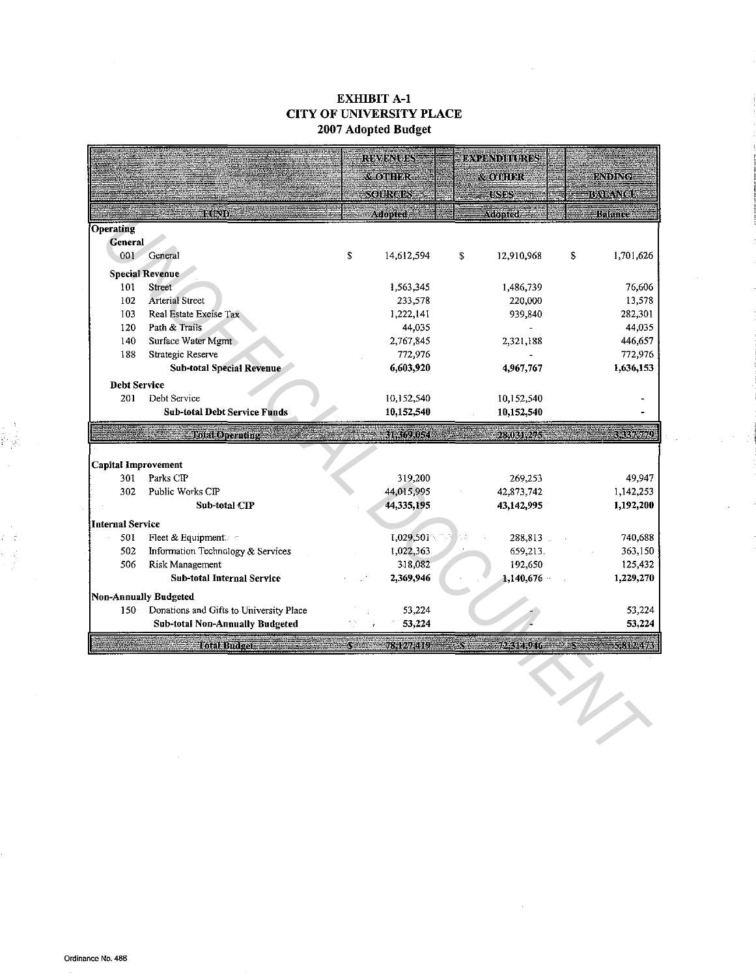# EXHIBIT A-1 CITY OF UNIVERSITY PLACE 2007 Adopted Budget

|                            |                                         | <b>REVENUES</b>  | <b>EXPENDIFURES</b> |                                            |
|----------------------------|-----------------------------------------|------------------|---------------------|--------------------------------------------|
|                            |                                         | <b>SEOTHINR</b>  | & OTHER             | <b>ENDING</b>                              |
|                            |                                         | <b>SOURCES:</b>  | <b>CSISS</b>        | BALANGE                                    |
|                            | FUND.                                   | <b>Adopted:</b>  | Adopted             | Balance                                    |
| <b>Operating</b>           |                                         |                  |                     |                                            |
| General                    |                                         |                  |                     |                                            |
| 001                        | General                                 | \$<br>14,612,594 | \$<br>12,910,968    | \$<br>1,701,626                            |
|                            | <b>Special Revenue</b>                  |                  |                     |                                            |
| 101                        | Street                                  | 1,563,345        | 1,486,739           | 76,606                                     |
| 102                        | <b>Arterial Street</b>                  | 233,578          | 220,000             | 13,578                                     |
| 103                        | Real Estate Excise Tax                  | 1,222,141        | 939,840             | 282,301                                    |
| 120                        | Path & Trails                           | 44,035           |                     | 44,035                                     |
| 140                        | Surface Water Mgmt                      | 2,767,845        | 2,321,188           | 446,657                                    |
| 188                        | Strategic Reserve                       | 772,976          |                     | 772,976                                    |
|                            | <b>Sub-total Special Revenue</b>        | 6,603,920        | 4,967,767           | 1,636,153                                  |
| <b>Debt Service</b>        |                                         |                  |                     |                                            |
| 201                        | Debt Service                            | 10,152,540       | 10,152,540          |                                            |
|                            | <b>Sub-total Debt Service Funds</b>     | 10,152,540       | 10,152,540          |                                            |
|                            | <b>Total Operating</b>                  | 31,369,054       | $-28,031,275$       | 3385559                                    |
|                            |                                         |                  |                     |                                            |
| <b>Capital Improvement</b> |                                         |                  |                     |                                            |
| 301                        | Parks CIP                               | 319,200          | 269,253             | 49,947                                     |
| 302                        | Public Works CIP                        | 44,015,995       | 42,873,742.         | 1,142,253                                  |
|                            | Sub-total CIP                           | 44,335,195       | 43,142,995          | 1,192,200                                  |
|                            |                                         |                  |                     |                                            |
| <b>Internal Service</b>    |                                         |                  |                     |                                            |
| 501                        | Fleet & Equipment:                      | 1,029,501        | 288,813             |                                            |
| 502                        | Information Technology & Services       | 1,022,363        | 659,213.            |                                            |
| 506                        | Risk Management                         | 318,082          | 192,650             |                                            |
|                            | Sub-total Internal Service              | 2,369,946        | 1,140,676           |                                            |
|                            | Non-Annually Budgeted                   |                  |                     | 740,688<br>363,150<br>125,432<br>1,229,270 |
| 150                        | Donations and Gifts to University Place | 53,224           |                     |                                            |
|                            | <b>Sub-total Non-Annually Budgeted</b>  | 53,224           |                     | 53,224<br>53,224                           |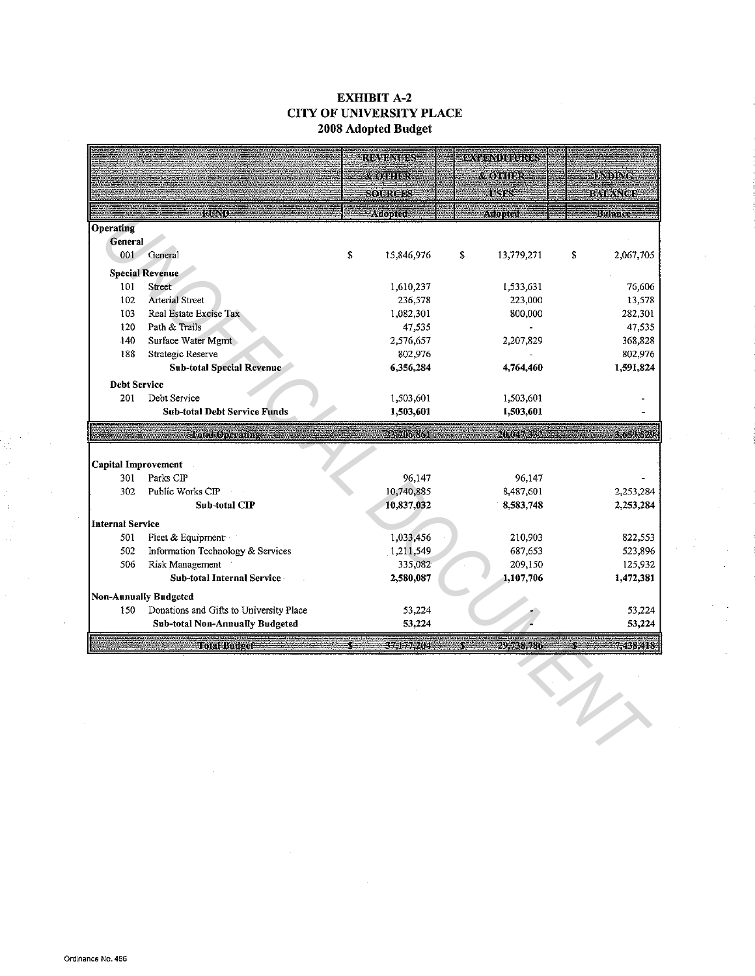# EXHIBIT A-2 CITY OF UNIVERSITY PLACE 2008 Adopted Budget

|                                   |                                         | <b>REVENUES</b> |                        | EXPENDENBRES |                        |                        |
|-----------------------------------|-----------------------------------------|-----------------|------------------------|--------------|------------------------|------------------------|
|                                   |                                         |                 | <b><i>Research</i></b> |              | & OTHER                | <b>BND NG</b>          |
|                                   |                                         |                 | SOURCES                |              | <b>USES</b>            | <b>BALZNOE</b>         |
|                                   | ene Nid                                 |                 | Adopted                |              | Adopted                | <b>Balance</b>         |
| Operating                         |                                         |                 |                        |              |                        |                        |
| General                           |                                         |                 |                        |              |                        |                        |
| 001                               | <b>General</b>                          | \$              | 15,846,976             | \$           | 13,779,271             | \$<br>2,067,705        |
|                                   | <b>Special Revenue</b>                  |                 |                        |              |                        |                        |
| 101                               | Street                                  |                 | 1,610,237              |              | 1,533,631              | 76,606                 |
| 102                               | <b>Arterial Street</b>                  |                 | 236,578                |              | 223,000                | 13,578                 |
| 103                               | Real Estate Excise Tax                  |                 | 1,082,301              |              | 800,000                | 282,301                |
| 120                               | Path & Trails                           |                 | 47,535                 |              |                        | 47,535                 |
| 140                               | Surface Water Mgmt                      |                 | 2,576,657              |              | 2,207,829              | 368,828                |
| 188                               | Strategic Reserve                       |                 | 802,976                |              |                        | 802,976                |
|                                   | <b>Sub-total Special Revenue</b>        |                 | 6,356,284              |              | 4,764,460              | 1,591,824              |
| <b>Debt Service</b>               |                                         |                 |                        |              |                        |                        |
| 201                               | Debt Service                            |                 | 1,503,601              |              | 1,503,601              |                        |
|                                   | <b>Sub-total Debt Service Funds</b>     |                 | 1,503,601              |              | 1,503,601              |                        |
|                                   | <b>Lotal Operating</b>                  |                 | 235.06.861             |              | 20.047,332             | 3.6.9.529              |
|                                   |                                         |                 |                        |              |                        |                        |
| <b>Capital Improvement</b><br>301 | Parks CIP                               |                 | 96,147                 |              |                        |                        |
| 302                               | Public Works CIP                        |                 | 10,740,885             |              | 96,147                 |                        |
|                                   | <b>Sub-total CIP</b>                    |                 | 10,837,032             |              | 8,487,601<br>8,583,748 | 2,253,284<br>2,253,284 |
|                                   |                                         |                 |                        |              |                        |                        |
| <b>Internal Service</b>           |                                         |                 |                        |              |                        |                        |
| 501                               | Fleet & Equipment                       |                 | 1,033,456              |              | 210,903                | 822,553                |
| 502                               | Information Technology & Services       |                 | 1,211,549              |              | 687,653                | 523,896                |
| 506                               | Risk Management                         |                 | 335,082                |              | 209,150                | 125,932                |
|                                   | Sub-total Internal Service              |                 | 2,580,087              |              | 1,107,706              | 1,472,381              |
|                                   | Non-Annually Budgeted                   |                 |                        |              |                        |                        |
| 150                               | Donations and Gifts to University Place |                 | 53,224                 |              |                        | 53,224                 |
|                                   | <b>Sub-total Non-Annually Budgeted</b>  |                 | 53,224                 |              |                        | 53,224                 |
|                                   | <b>Fotal Budget</b>                     |                 | 375177.204             |              | 29.738.780             | 7318.418               |
|                                   |                                         |                 |                        |              |                        |                        |
|                                   |                                         |                 |                        |              |                        |                        |
|                                   |                                         |                 |                        |              |                        |                        |
|                                   |                                         |                 |                        |              |                        |                        |
|                                   |                                         |                 |                        |              |                        |                        |
|                                   |                                         |                 |                        |              |                        |                        |
|                                   |                                         |                 |                        |              |                        |                        |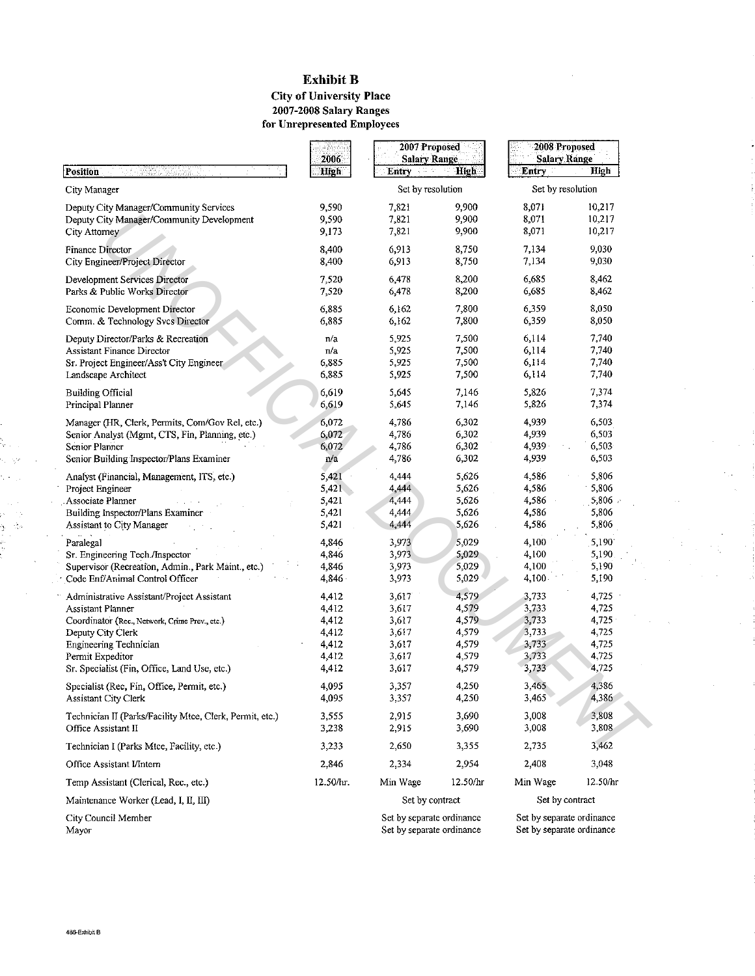## Exhibit B City of University Place 2007-2008 Salary Ranges

**for Unrepresented Employees** 

ļ,

j.

|                                                                | 2006           | 2007 Proposed<br><b>Salary Range</b> |                | 2008 Proposed<br><b>Salary Range</b> |                |
|----------------------------------------------------------------|----------------|--------------------------------------|----------------|--------------------------------------|----------------|
| Position                                                       | High           | Entry                                | <b>High</b>    | Entry                                | High           |
| City Manager                                                   |                | Set by resolution                    |                | Set by resolution                    |                |
| Deputy City Manager/Community Services                         | 9,590          | 7,821                                | 9,900          | 8,071                                | 10,217         |
| Deputy City Manager/Community Development                      | 9,590          | 7,821                                | 9,900          | 8,071                                | 10,217         |
| City Attorney                                                  | 9,173          | 7,821                                | 9,900          | 8,071                                | 10,217         |
| Finance Director                                               | 8,400          | 6,913                                | 8,750          | 7,134                                | 9,030          |
| City Engineer/Project Director                                 | 8,400          | 6,913                                | 8,750          | 7,134                                | 9,030          |
|                                                                |                |                                      |                |                                      |                |
| Development Services Director<br>Parks & Public Works Director | 7,520<br>7,520 | 6,478<br>6,478                       | 8,200<br>8,200 | 6,685<br>6,685                       | 8,462<br>8,462 |
|                                                                |                |                                      |                |                                      |                |
| Economic Development Director                                  | 6,885          | 6,162                                | 7,800          | 6,359                                | 8,050          |
| Comm. & Technology Svcs Director                               | 6,885          | 6,162                                | 7,800          | 6,359                                | 8,050          |
| Deputy Director/Parks & Recreation                             | n/a            | 5,925                                | 7,500          | 6,114                                | 7,740          |
| Assistant Finance Director                                     | n/a            | 5,925                                | 7,500          | 6,114                                | 7,740          |
| Sr. Project Engineer/Ass't City Engineer                       | 6,885          | 5,925                                | 7,500          | 6,114                                | 7,740          |
| Landscape Architect                                            | 6,885          | 5,925                                | 7,500          | 6,114                                | 7,740          |
| Building Official                                              | 6,619          | 5,645                                | 7,146          | 5,826                                | 7,374          |
| Principal Planner                                              | 6,619          | 5,645                                | 7,146          | 5,826                                | 7,374          |
| Manager (HR, Clerk, Permits, Com/Gov Rel, etc.)                | 6,072          | 4,786                                | 6,302          | 4,939                                | 6,503          |
| Senior Analyst (Mgmt, CTS, Fin, Planning, etc.)                | 6,072          | 4,786                                | 6,302          | 4,939                                | 6,503          |
| Senior Planner                                                 | 6,072          | 4,786                                | 6,302          | 4,939                                | 6,503          |
| Senior Building Inspector/Plans Examiner                       | n/a            | 4,786                                | 6,302          | 4,939                                | 6,503          |
|                                                                |                |                                      |                |                                      | 5,806          |
| Analyst (Financial, Management, ITS, etc.)                     | 5,421          | 4,444                                | 5,626          | 4,586                                |                |
| Project Engineer                                               | $5,421$ .      | 4,444                                | 5,626          | 4,586                                | 5,806          |
| Associate Planner                                              | 5,421          | 4,444                                | 5,626          | 4,586                                | 5,806          |
| Building Inspector/Plans Examiner                              | 5,421          | 4,444<br>4,444                       | 5,626<br>5,626 | 4,586<br>4,586                       | 5,806<br>5,806 |
| Assistant to City Manager                                      | 5,421          |                                      |                |                                      |                |
| Paralegal                                                      | 4,846          | 3,973                                | 5,029          | 4,100                                | 5,190          |
| Sr. Engineering Tech./Inspector                                | 4,846          | 3,973                                | 5,029          | 4,100                                | 5,190          |
| Supervisor (Recreation, Admin., Park Maint., etc.)             | 4,846          | 3,973                                | 5,029          | 4,100                                | 5,190          |
| Code Enf/Animal Control Officer                                | 4,846          | 3,973                                | 5,029          | 4,100                                | 5,190          |
| Administrative Assistant/Project Assistant                     | 4,412          | 3,617                                | 4,579          | 3,733                                | 4,725          |
| Assistant Planner                                              | 4,412          | 3,617                                | 4,579          | 3,733                                | 4,725          |
| Coordinator (Rec., Network, Crime Prev., etc.)                 | 4,412          | 3,617                                | 4,579          | 3,733                                | 4,725          |
| Deputy City Clerk                                              | 4,412          | 3,617                                | 4,579          | 3,733                                | 4,725          |
| Engineering Technician                                         | 4,412          | 3,617                                | 4,579          | 3,733                                | 4,725          |
| Permit Expeditor                                               | 4,412          | 3,617                                | 4,579          | 3,733                                | 4,725          |
| Sr. Specialist (Fin, Office, Land Use, etc.)                   | 4,412          | 3,617                                | 4,579          | 3,733                                | 4,725          |
| Specialist (Rec, Fin, Office, Permit, etc.)                    | 4,095          | 3,357                                | 4,250          | 3,465                                | 4,386          |
| Assistant City Clerk                                           | 4,095          | 3,357                                | 4,250          | 3,465                                | 4,386          |
|                                                                |                |                                      |                |                                      |                |
| Technician II (Parks/Facility Mtce, Clerk, Permit, etc.)       | 3,555          | 2,915<br>2,915                       | 3,690<br>3,690 | 3,008<br>3,008                       | 3,808<br>3,808 |
| Office Assistant II                                            | 3,238          |                                      |                |                                      |                |
| Technician I (Parks Mtce, Facility, etc.)                      | 3,233          | 2,650                                | 3,355          | 2,735                                | 3,462          |
| Office Assistant I/Intern                                      | 2,846          | 2,334                                | 2,954          | 2,408                                | 3,048          |
| Temp Assistant (Clerical, Rec., etc.)                          | 12.50/hr.      | Min Wage                             | 12.50/hr       | Min Wage                             | 12.50/hr       |
| Maintenance Worker (Lead, I, II, III)                          |                | Set by contract                      |                | Set by contract                      |                |
| City Council Member                                            |                | Set by separate ordinance            |                | Set by separate ordinance            |                |
| Mayor                                                          |                | Set by separate ordinance            |                | Set by separate ordinance            |                |

 $\hat{B}_\theta$ Ì

 $\bar{z}$